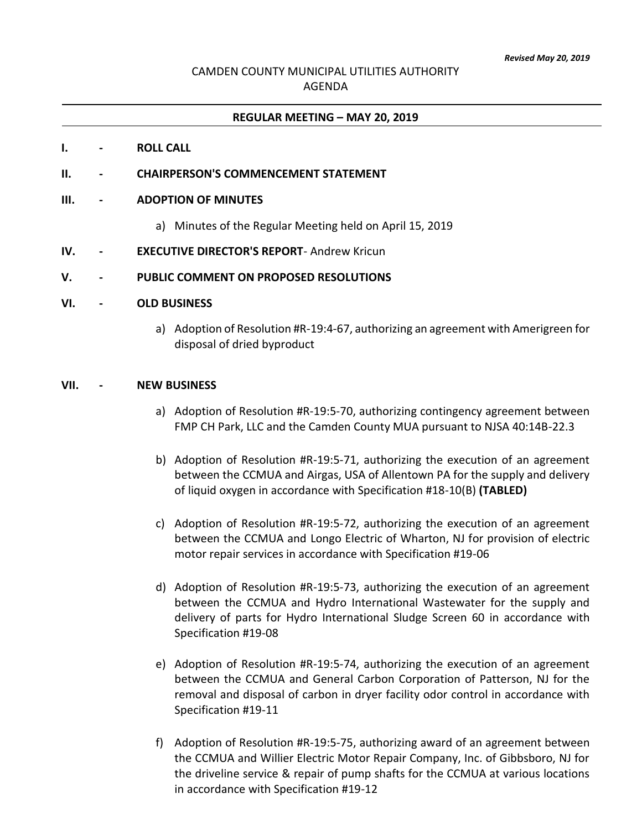# CAMDEN COUNTY MUNICIPAL UTILITIES AUTHORITY AGENDA

### **REGULAR MEETING – MAY 20, 2019**

### **I. - ROLL CALL**

**II. - CHAIRPERSON'S COMMENCEMENT STATEMENT**

#### **III. - ADOPTION OF MINUTES**

- a) Minutes of the Regular Meeting held on April 15, 2019
- **IV. - EXECUTIVE DIRECTOR'S REPORT** Andrew Kricun

#### **V. - PUBLIC COMMENT ON PROPOSED RESOLUTIONS**

#### **VI. - OLD BUSINESS**

a) Adoption of Resolution #R-19:4-67, authorizing an agreement with Amerigreen for disposal of dried byproduct

#### **VII. - NEW BUSINESS**

- a) Adoption of Resolution #R-19:5-70, authorizing contingency agreement between FMP CH Park, LLC and the Camden County MUA pursuant to NJSA 40:14B-22.3
- b) Adoption of Resolution #R-19:5-71, authorizing the execution of an agreement between the CCMUA and Airgas, USA of Allentown PA for the supply and delivery of liquid oxygen in accordance with Specification #18-10(B) **(TABLED)**
- c) Adoption of Resolution #R-19:5-72, authorizing the execution of an agreement between the CCMUA and Longo Electric of Wharton, NJ for provision of electric motor repair services in accordance with Specification #19-06
- d) Adoption of Resolution #R-19:5-73, authorizing the execution of an agreement between the CCMUA and Hydro International Wastewater for the supply and delivery of parts for Hydro International Sludge Screen 60 in accordance with Specification #19-08
- e) Adoption of Resolution #R-19:5-74, authorizing the execution of an agreement between the CCMUA and General Carbon Corporation of Patterson, NJ for the removal and disposal of carbon in dryer facility odor control in accordance with Specification #19-11
- f) Adoption of Resolution #R-19:5-75, authorizing award of an agreement between the CCMUA and Willier Electric Motor Repair Company, Inc. of Gibbsboro, NJ for the driveline service & repair of pump shafts for the CCMUA at various locations in accordance with Specification #19-12